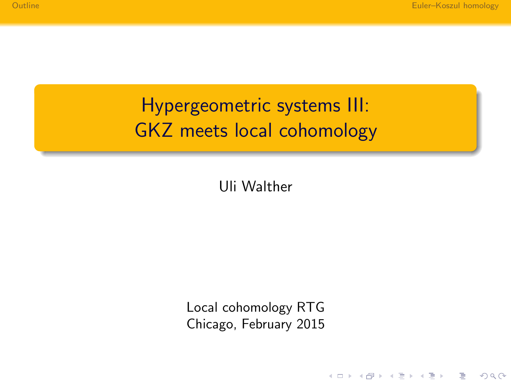K ロ > K @ > K 할 > K 할 > → 할 → ⊙ Q @

# Hypergeometric systems III: GKZ meets local cohomology

Uli Walther

Local cohomology RTG Chicago, February 2015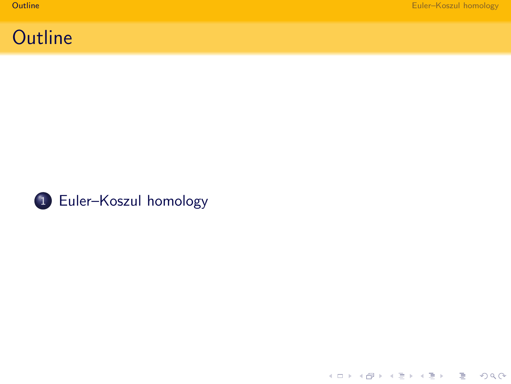# **Outline**



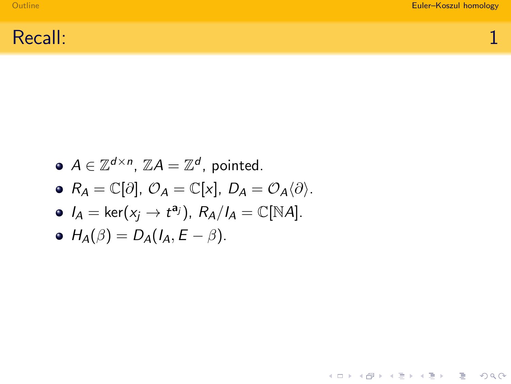K ロ > K @ > K 할 > K 할 > → 할 → ⊙ Q @

Recall: 
$$
\overline{a} = \overline{a}
$$

- $A \in \mathbb{Z}^{d \times n}$ ,  $\mathbb{Z}A = \mathbb{Z}^d$ , pointed.
- $R_A = \mathbb{C}[\partial], \mathcal{O}_A = \mathbb{C}[x], D_A = \mathcal{O}_A \langle \partial \rangle.$
- $I_A = \text{ker}(x_j \to t^{a_j}), R_A/I_A = \mathbb{C}[\mathbb{N}A].$

<span id="page-2-0"></span>• 
$$
H_A(\beta) = D_A(I_A, E - \beta)
$$
.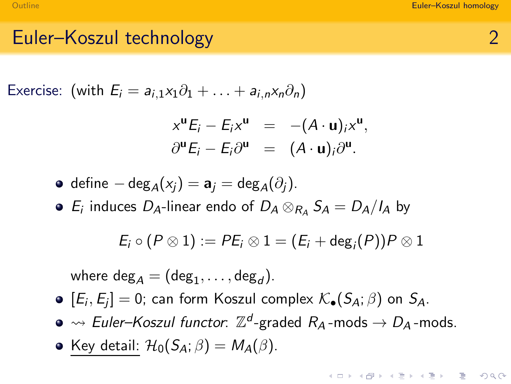# Euler–Koszul technology 2

Exercise: (with  $E_i = a_{i,1}x_1\partial_1 + \ldots + a_{i,n}x_n\partial_n$ )

$$
x^{\mathbf{u}}E_i - E_i x^{\mathbf{u}} = -(A \cdot \mathbf{u})_i x^{\mathbf{u}},
$$
  

$$
\partial^{\mathbf{u}}E_i - E_i \partial^{\mathbf{u}} = (A \cdot \mathbf{u})_i \partial^{\mathbf{u}}.
$$

• define 
$$
-\deg_A(x_j) = \mathbf{a}_j = \deg_A(\partial_j)
$$
.

 $E_i$  induces  $D_A$ -linear endo of  $D_A \otimes_{R_A} S_A = D_A/I_A$  by

$$
E_i\circ (P\otimes 1):=PE_i\otimes 1=(E_i+\deg_i(P))P\otimes 1
$$

where  $\deg_A = (\deg_1, \ldots, \deg_d).$ 

- $[E_i, E_j] = 0$ ; can form Koszul complex  $\mathcal{K}_{\bullet}(S_A; \beta)$  on  $S_A$ .
- $\rightsquigarrow$  Euler–Koszul functor:  $\mathbb{Z}^d$ -graded  $R_A$ -mods  $\rightarrow$   $D_A$ -mods.

<span id="page-3-0"></span>• Key detail: 
$$
\mathcal{H}_0(S_A; \beta) = M_A(\beta)
$$
.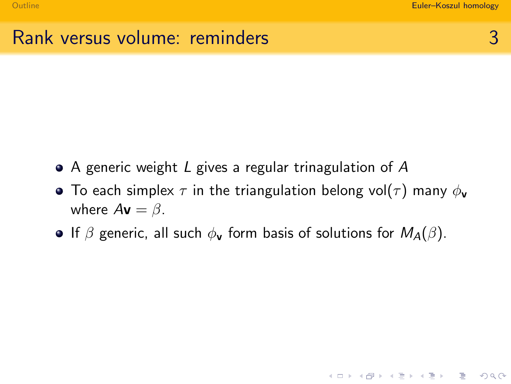K ロ ▶ K 레 ▶ K 코 ▶ K 코 ▶ 『 코 │ ◆ 9 Q (\*

# Rank versus volume: reminders 3

- $\bullet$  A generic weight L gives a regular trinagulation of A
- **•** To each simplex  $\tau$  in the triangulation belong vol( $\tau$ ) many  $\phi_{\mathbf{v}}$ where  $A\mathbf{v} = \beta$ .
- **If**  $\beta$  generic, all such  $\phi_v$  form basis of solutions for  $M_A(\beta)$ .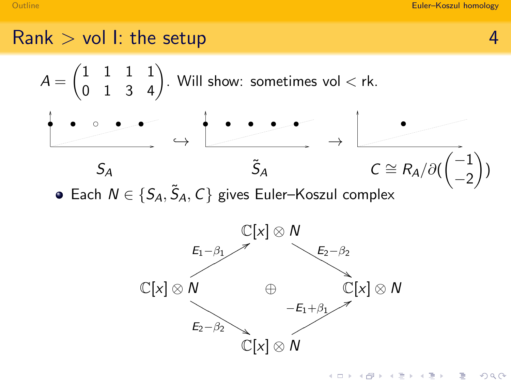# $Rank > vol$  I: the setup  $44$



Each  $N \in \{S_A, \tilde{S}_A, C\}$  gives Euler–Koszul complex



イロト イ押ト イヨト イヨト  $\equiv$  $QQ$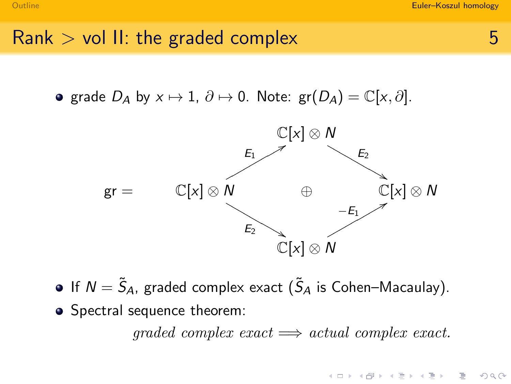# $Rank > vol$  II: the graded complex  $5$

• grade  $D_A$  by  $x \mapsto 1$ ,  $\partial \mapsto 0$ . Note:  $gr(D_A) = \mathbb{C}[x, \partial]$ .



If  $N=\tilde{S}_A$ , graded complex exact  $(\tilde{S}_A$  is Cohen–Macaulay).

• Spectral sequence theorem:

qraded complex exact  $\implies$  actual complex exact.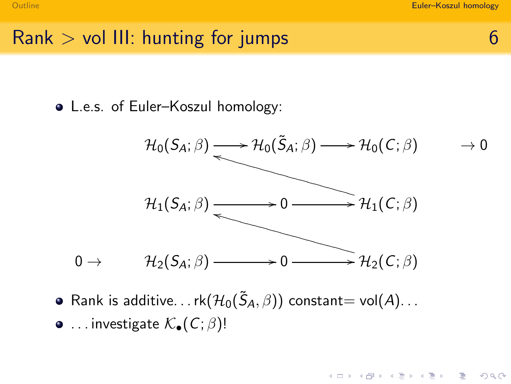# $Rank > vol$  III: hunting for jumps  $68<sub>1</sub>$

### L.e.s. of Euler–Koszul homology:



Rank is additive. . . rk $(\mathcal{H}_0(\tilde{S}_A,\beta))$  constant $=$  vol $(A)$ . . .

 $\bullet$  ... investigate  $\mathcal{K}_{\bullet}(C;\beta)!$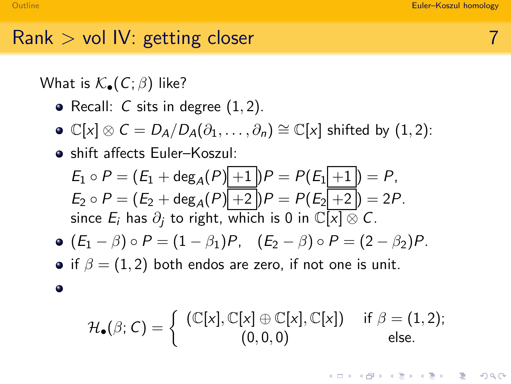# $Rank > vol$  IV: getting closer

What is  $\mathcal{K}_{\bullet}(\mathcal{C}; \beta)$  like?

- Recall:  $C$  sits in degree  $(1, 2)$ .
- $\bullet \mathbb{C}[x] \otimes C = D_A/D_A(\partial_1, \ldots, \partial_n) \cong \mathbb{C}[x]$  shifted by  $(1, 2)$ :
- shift affects Euler–Koszul:

$$
E_1 \circ P = (E_1 + \deg_A(P) + 1)P = P(E_1 + 1) = P,
$$
  
\n
$$
E_2 \circ P = (E_2 + \deg_A(P) + 2)P = P(E_2 + 2) = 2P.
$$
  
\nsince  $E_i$  has  $\partial_j$  to right, which is 0 in  $\mathbb{C}[x] \otimes C$ .

• 
$$
(E_1 - \beta) \circ P = (1 - \beta_1)P
$$
,  $(E_2 - \beta) \circ P = (2 - \beta_2)P$ .

• if  $\beta = (1, 2)$  both endos are zero, if not one is unit.

$$
\color{red}\bullet
$$

$$
\mathcal{H}_{\bullet}(\beta; C) = \left\{ \begin{array}{cl} (\mathbb{C}[x], \mathbb{C}[x] \oplus \mathbb{C}[x], \mathbb{C}[x]) & \text{if } \beta = (1, 2); \\ (0, 0, 0) & \text{else.} \end{array} \right.
$$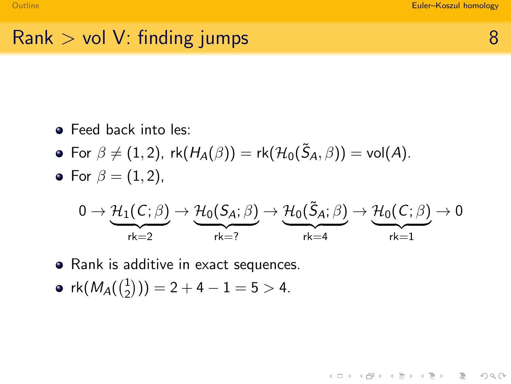# $Rank > vol$  V: finding jumps  $8$

- **•** Feed back into les:
- For  $\beta \neq (1,2)$ , rk $(H_A(\beta)) =$  rk $(\mathcal{H}_0(\tilde{S}_A,\beta)) =$  vol $(A)$ .
- For  $\beta = (1, 2)$ ,

$$
0 \to \underbrace{{\mathcal H}_1 \big( \mathit{C} ; \beta \big)}_{\mathsf{rk}=2} \to \underbrace{{\mathcal H}_0 \big( S_{\mathcal{A}} ; \beta \big)}_{\mathsf{rk}=7} \to \underbrace{{\mathcal H}_0 \big( \tilde{S}_{\mathcal{A}} ; \beta \big)}_{\mathsf{rk}=4} \to \underbrace{{\mathcal H}_0 \big( \mathit{C} ; \beta \big)}_{\mathsf{rk}=1} \to 0
$$

- Rank is additive in exact sequences.
- rk $(M_A(\begin{pmatrix} 1 \ 2 \end{pmatrix}$  $\binom{1}{2}$ )) = 2 + 4 - 1 = 5 > 4.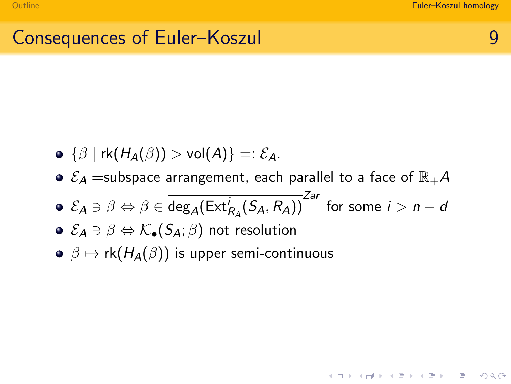**A DIA K PIA SE A SHA SHA K DIA K** 

- $\bullet \{\beta \mid \text{rk}(H_A(\beta)) > \text{vol}(A)\} =: \mathcal{E}_A.$
- $\bullet$   $\mathcal{E}_A$  =subspace arrangement, each parallel to a face of  $\mathbb{R}_+ A$
- $\mathcal{E}_\mathcal{A} \ni \beta \Leftrightarrow \beta \in \overline{\text{deg}_A(\text{Ext}^i_{R_A}(S_A,R_A))}^{Zar}$  for some  $i > n d$
- $\bullet \mathcal{E}_A \ni \beta \Leftrightarrow \mathcal{K}_\bullet(S_A;\beta)$  not resolution
- $\phi$   $\beta \mapsto$  rk( $H_A(\beta)$ ) is upper semi-continuous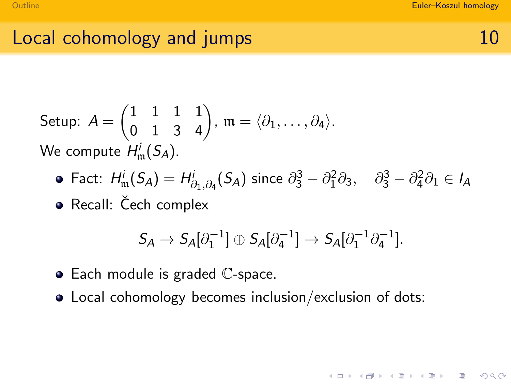# Local cohomology and jumps 10

Setup: 
$$
A = \begin{pmatrix} 1 & 1 & 1 & 1 \\ 0 & 1 & 3 & 4 \end{pmatrix}
$$
,  $\mathfrak{m} = \langle \partial_1, \dots, \partial_4 \rangle$ .  
We compute  $H^i_{\mathfrak{m}}(S_A)$ .

- Fact:  $H^i_{\mathfrak{m}}(S_A) = H^i_{\partial_1, \partial_4}(S_A)$  since  $\partial_3^3 \partial_1^2 \partial_3$ ,  $\partial_3^3 \partial_4^2 \partial_1 \in I_A$
- Recall: Čech complex

$$
S_A \to S_A[\partial_1^{-1}] \oplus S_A[\partial_4^{-1}] \to S_A[\partial_1^{-1}\partial_4^{-1}].
$$

- Each module is graded C-space.
- Local cohomology becomes inclusion/exclusion of dots: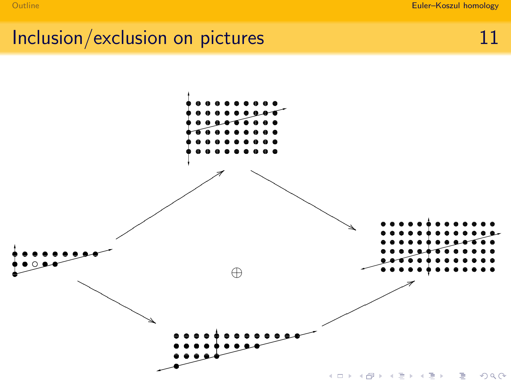# Inclusion/exclusion on pictures 11

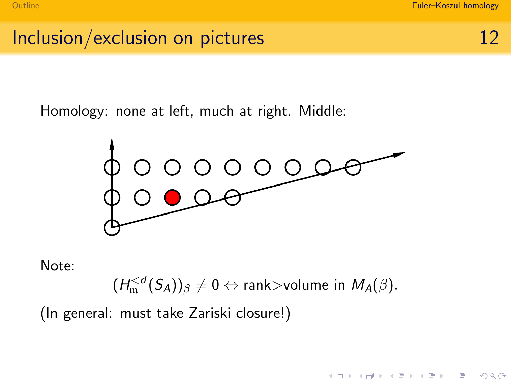K ロ > K @ > K 할 > K 할 > → 할 → ⊙ Q @

# Inclusion/exclusion on pictures 12

Homology: none at left, much at right. Middle:



Note:

$$
(H_{\mathfrak{m}}^{&d}(S_A))_{\beta}\neq 0 \Leftrightarrow \mathsf{rank}\gt \mathsf{volume} \mathsf{in} \mathsf{M}_A(\beta).
$$

(In general: must take Zariski closure!)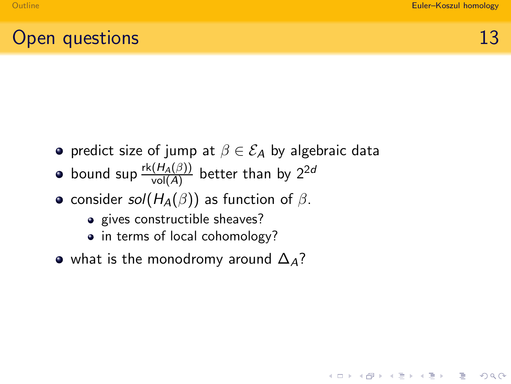**KORK ERRY ABRICAN BIRD AGA** 

# Open questions 13

- **•** predict size of jump at  $\beta \in \mathcal{E}_A$  by algebraic data
- bound sup  $\frac{\mathsf{rk}(H_A(\beta))}{\mathsf{vol}(A)}$  better than by  $2^{2d}$
- consider  $sol(H_A(\beta))$  as function of  $\beta$ .
	- gives constructible sheaves?
	- in terms of local cohomology?
- what is the monodromy around  $\Delta_A$ ?